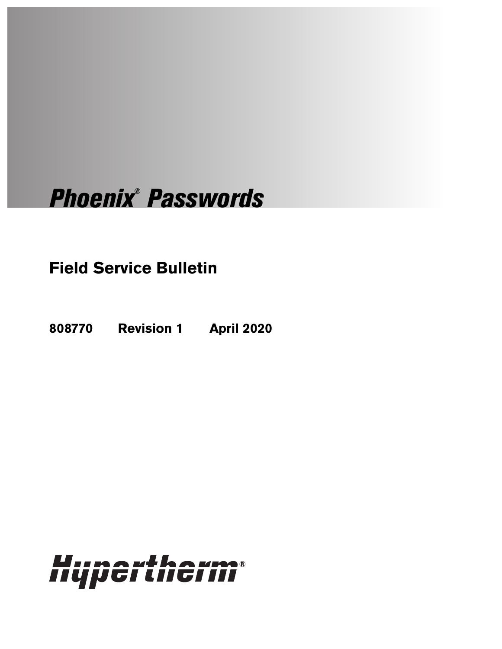# Phoenix® Passwords

## **Field Service Bulletin**

**808770 Revision 1 April 2020**

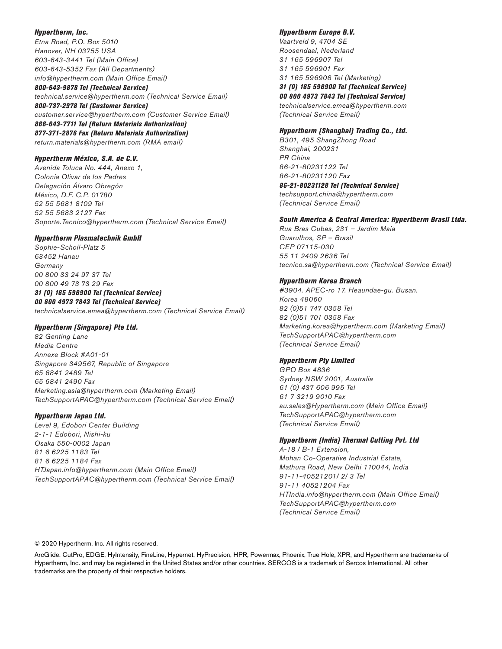#### Hypertherm, Inc.

Etna Road, P.O. Box 5010 Hanover, NH 03755 USA 603-643-3441 Tel (Main Office) 603-643-5352 Fax (All Departments) info@hypertherm.com (Main Office Email) 800-643-9878 Tel (Technical Service) technical.service@hypertherm.com (Technical Service Email) 800-737-2978 Tel (Customer Service) customer.service@hypertherm.com (Customer Service Email) 866-643-7711 Tel (Return Materials Authorization) 877-371-2876 Fax (Return Materials Authorization) return.materials@hypertherm.com (RMA email)

#### Hypertherm México, S.A. de C.V.

Avenida Toluca No. 444, Anexo 1, Colonia Olivar de los Padres Delegación Álvaro Obregón México, D.F. C.P. 01780 52 55 5681 8109 Tel 52 55 5683 2127 Fax Soporte.Tecnico@hypertherm.com (Technical Service Email)

#### Hypertherm Plasmatechnik GmbH

Sophie-Scholl-Platz 5 63452 Hanau Germany 00 800 33 24 97 37 Tel 00 800 49 73 73 29 Fax

#### 31 (0) 165 596900 Tel (Technical Service)

00 800 4973 7843 Tel (Technical Service) technicalservice.emea@hypertherm.com (Technical Service Email)

#### Hypertherm (Singapore) Pte Ltd.

82 Genting Lane Media Centre Annexe Block #A01-01 Singapore 349567, Republic of Singapore 65 6841 2489 Tel 65 6841 2490 Fax Marketing.asia@hypertherm.com (Marketing Email) TechSupportAPAC@hypertherm.com (Technical Service Email)

#### Hypertherm Japan Ltd.

Level 9, Edobori Center Building 2-1-1 Edobori, Nishi-ku Osaka 550-0002 Japan 81 6 6225 1183 Tel 81 6 6225 1184 Fax HTJapan.info@hypertherm.com (Main Office Email) TechSupportAPAC@hypertherm.com (Technical Service Email)

#### Hypertherm Europe B.V.

Vaartveld 9, 4704 SE Roosendaal, Nederland 31 165 596907 Tel 31 165 596901 Fax 31 165 596908 Tel (Marketing) 31 (0) 165 596900 Tel (Technical Service)

00 800 4973 7843 Tel (Technical Service)

technicalservice.emea@hypertherm.com (Technical Service Email)

#### Hypertherm (Shanghai) Trading Co., Ltd.

B301, 495 ShangZhong Road Shanghai, 200231 PR China 86-21-80231122 Tel 86-21-80231120 Fax

86-21-80231128 Tel (Technical Service)

techsupport.china@hypertherm.com (Technical Service Email)

#### South America & Central America: Hypertherm Brasil Ltda.

Rua Bras Cubas, 231 – Jardim Maia Guarulhos, SP – Brasil CEP 07115-030 55 11 2409 2636 Tel tecnico.sa@hypertherm.com (Technical Service Email)

#### Hypertherm Korea Branch

#3904. APEC-ro 17. Heaundae-gu. Busan. Korea 48060 82 (0)51 747 0358 Tel 82 (0)51 701 0358 Fax Marketing.korea@hypertherm.com (Marketing Email) TechSupportAPAC@hypertherm.com (Technical Service Email)

#### Hypertherm Pty Limited

GPO Box 4836 Sydney NSW 2001, Australia 61 (0) 437 606 995 Tel 61 7 3219 9010 Fax au.sales@Hypertherm.com (Main Office Email) TechSupportAPAC@hypertherm.com (Technical Service Email)

#### Hypertherm (India) Thermal Cutting Pvt. Ltd

A-18 / B-1 Extension, Mohan Co-Operative Industrial Estate, Mathura Road, New Delhi 110044, India 91-11-40521201/ 2/ 3 Tel 91-11 40521204 Fax HTIndia.info@hypertherm.com (Main Office Email) TechSupportAPAC@hypertherm.com (Technical Service Email)

© 2020 Hypertherm, Inc. All rights reserved.

ArcGlide, CutPro, EDGE, HyIntensity, FineLine, Hypernet, HyPrecision, HPR, Powermax, Phoenix, True Hole, XPR, and Hypertherm are trademarks of Hypertherm, Inc. and may be registered in the United States and/or other countries. SERCOS is a trademark of Sercos International. All other trademarks are the property of their respective holders.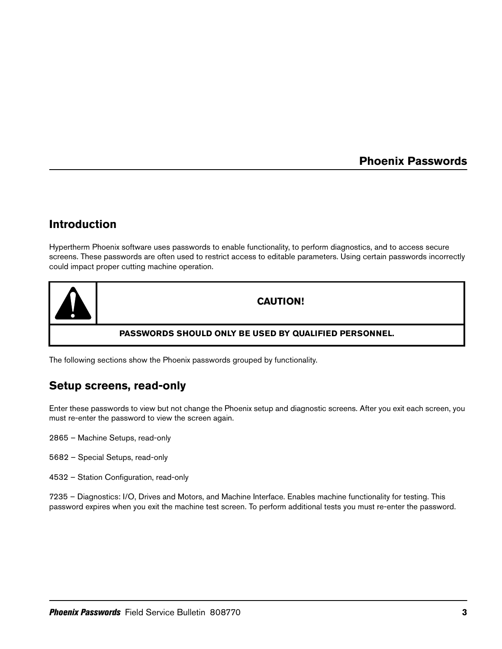### **Phoenix Passwords**

## **Introduction**

Hypertherm Phoenix software uses passwords to enable functionality, to perform diagnostics, and to access secure screens. These passwords are often used to restrict access to editable parameters. Using certain passwords incorrectly could impact proper cutting machine operation.



The following sections show the Phoenix passwords grouped by functionality.

## **Setup screens, read-only**

Enter these passwords to view but not change the Phoenix setup and diagnostic screens. After you exit each screen, you must re-enter the password to view the screen again.

- 2865 Machine Setups, read-only
- 5682 Special Setups, read-only
- 4532 Station Configuration, read-only

7235 – Diagnostics: I/O, Drives and Motors, and Machine Interface. Enables machine functionality for testing. This password expires when you exit the machine test screen. To perform additional tests you must re-enter the password.